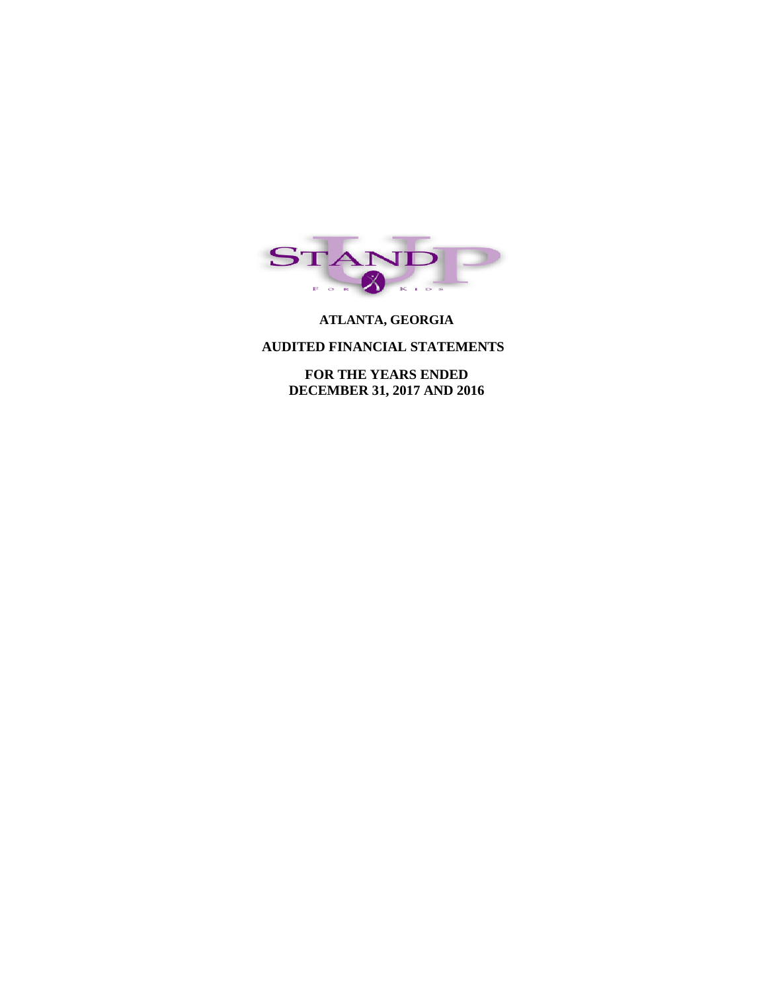

# **ATLANTA, GEORGIA**

#### **AUDITED FINANCIAL STATEMENTS**

 **FOR THE YEARS ENDED DECEMBER 31, 2017 AND 2016**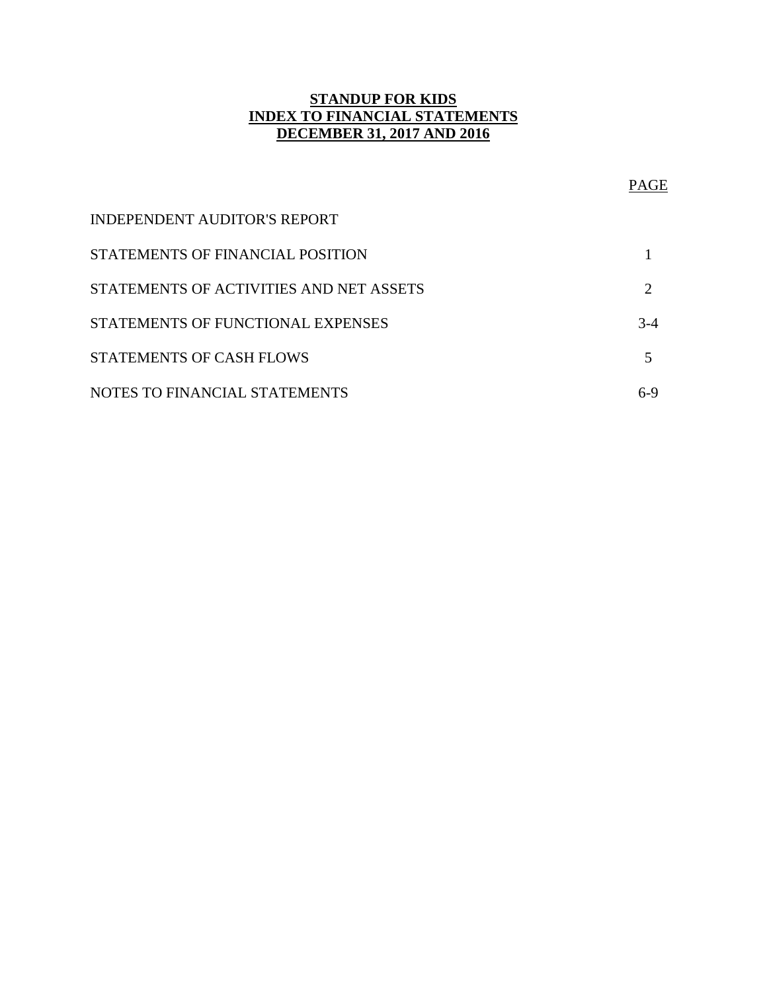# **STANDUP FOR KIDS INDEX TO FINANCIAL STATEMENTS DECEMBER 31, 2017 AND 2016**

|                                         | <b>PAGE</b>           |
|-----------------------------------------|-----------------------|
| <b>INDEPENDENT AUDITOR'S REPORT</b>     |                       |
| STATEMENTS OF FINANCIAL POSITION        |                       |
| STATEMENTS OF ACTIVITIES AND NET ASSETS | $\mathcal{D}_{\cdot}$ |
| STATEMENTS OF FUNCTIONAL EXPENSES       | $3-4$                 |
| <b>STATEMENTS OF CASH FLOWS</b>         |                       |
| NOTES TO FINANCIAL STATEMENTS           | 6-9                   |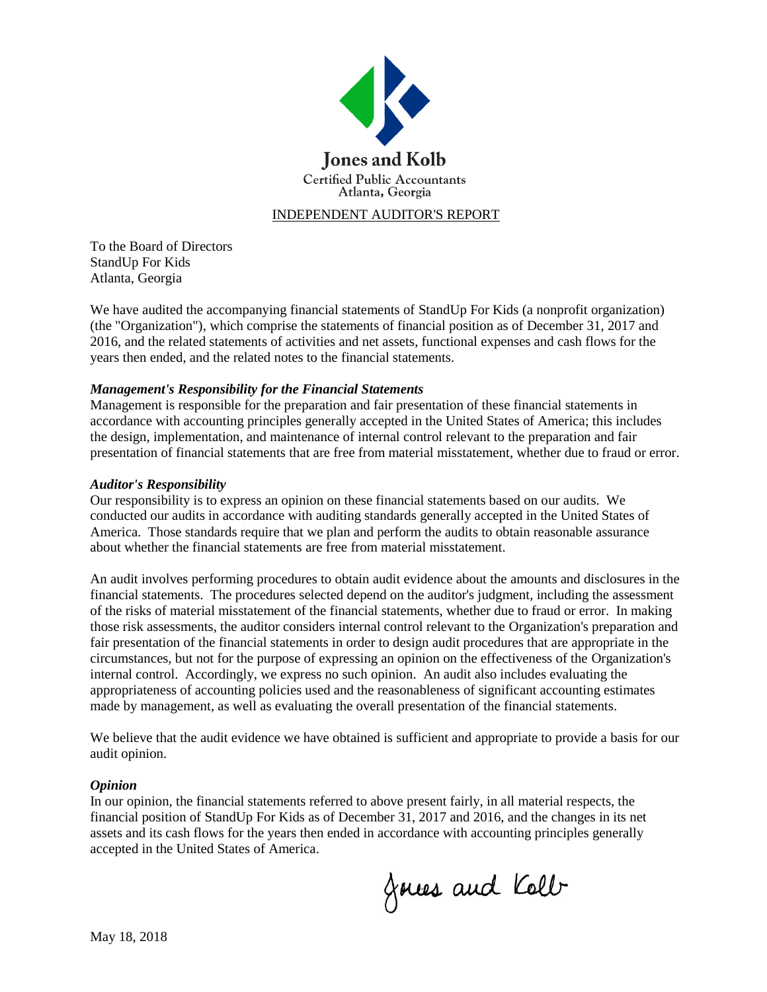

## INDEPENDENT AUDITOR'S REPORT

To the Board of Directors StandUp For Kids Atlanta, Georgia

We have audited the accompanying financial statements of StandUp For Kids (a nonprofit organization) (the "Organization"), which comprise the statements of financial position as of December 31, 2017 and 2016, and the related statements of activities and net assets, functional expenses and cash flows for the years then ended, and the related notes to the financial statements.

#### *Management's Responsibility for the Financial Statements*

Management is responsible for the preparation and fair presentation of these financial statements in accordance with accounting principles generally accepted in the United States of America; this includes the design, implementation, and maintenance of internal control relevant to the preparation and fair presentation of financial statements that are free from material misstatement, whether due to fraud or error.

#### *Auditor's Responsibility*

Our responsibility is to express an opinion on these financial statements based on our audits. We conducted our audits in accordance with auditing standards generally accepted in the United States of America. Those standards require that we plan and perform the audits to obtain reasonable assurance about whether the financial statements are free from material misstatement.

An audit involves performing procedures to obtain audit evidence about the amounts and disclosures in the financial statements. The procedures selected depend on the auditor's judgment, including the assessment of the risks of material misstatement of the financial statements, whether due to fraud or error. In making those risk assessments, the auditor considers internal control relevant to the Organization's preparation and fair presentation of the financial statements in order to design audit procedures that are appropriate in the circumstances, but not for the purpose of expressing an opinion on the effectiveness of the Organization's internal control. Accordingly, we express no such opinion. An audit also includes evaluating the appropriateness of accounting policies used and the reasonableness of significant accounting estimates made by management, as well as evaluating the overall presentation of the financial statements.

We believe that the audit evidence we have obtained is sufficient and appropriate to provide a basis for our audit opinion.

#### *Opinion*

In our opinion, the financial statements referred to above present fairly, in all material respects, the financial position of StandUp For Kids as of December 31, 2017 and 2016, and the changes in its net assets and its cash flows for the years then ended in accordance with accounting principles generally accepted in the United States of America.

Joues and Kolb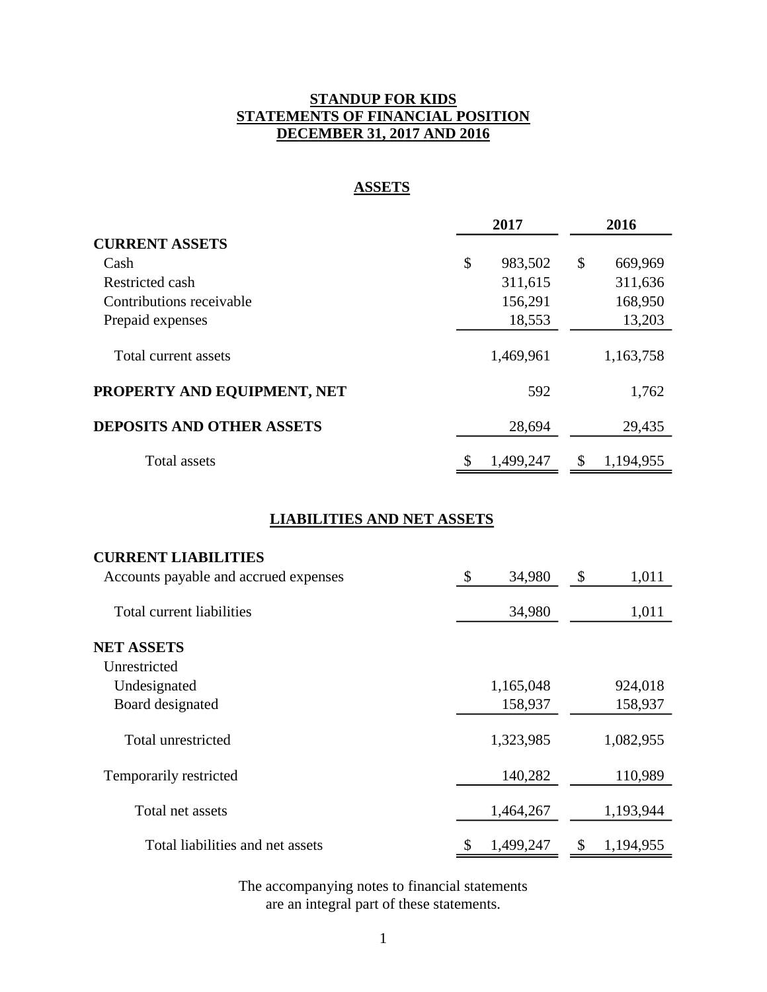# **STANDUP FOR KIDS STATEMENTS OF FINANCIAL POSITION DECEMBER 31, 2017 AND 2016**

# **ASSETS**

|                                  | 2017 |           | 2016 |           |  |
|----------------------------------|------|-----------|------|-----------|--|
| <b>CURRENT ASSETS</b>            |      |           |      |           |  |
| Cash                             | \$   | 983,502   | \$   | 669,969   |  |
| Restricted cash                  |      | 311,615   |      | 311,636   |  |
| Contributions receivable         |      | 156,291   |      | 168,950   |  |
| Prepaid expenses                 |      | 18,553    |      | 13,203    |  |
| Total current assets             |      | 1,469,961 |      | 1,163,758 |  |
| PROPERTY AND EQUIPMENT, NET      |      | 592       |      | 1,762     |  |
| <b>DEPOSITS AND OTHER ASSETS</b> |      | 28,694    |      | 29,435    |  |
| Total assets                     | \$   | 1,499,247 | S    | 1,194,955 |  |

# **LIABILITIES AND NET ASSETS**

| <b>CURRENT LIABILITIES</b>            |                 |                 |
|---------------------------------------|-----------------|-----------------|
| Accounts payable and accrued expenses | \$<br>34,980    | \$<br>1,011     |
| Total current liabilities             | 34,980          | 1,011           |
| <b>NET ASSETS</b>                     |                 |                 |
| Unrestricted                          |                 |                 |
| Undesignated                          | 1,165,048       | 924,018         |
| Board designated                      | 158,937         | 158,937         |
| Total unrestricted                    | 1,323,985       | 1,082,955       |
| Temporarily restricted                | 140,282         | 110,989         |
| Total net assets                      | 1,464,267       | 1,193,944       |
| Total liabilities and net assets      | \$<br>1,499,247 | \$<br>1,194,955 |

The accompanying notes to financial statements are an integral part of these statements.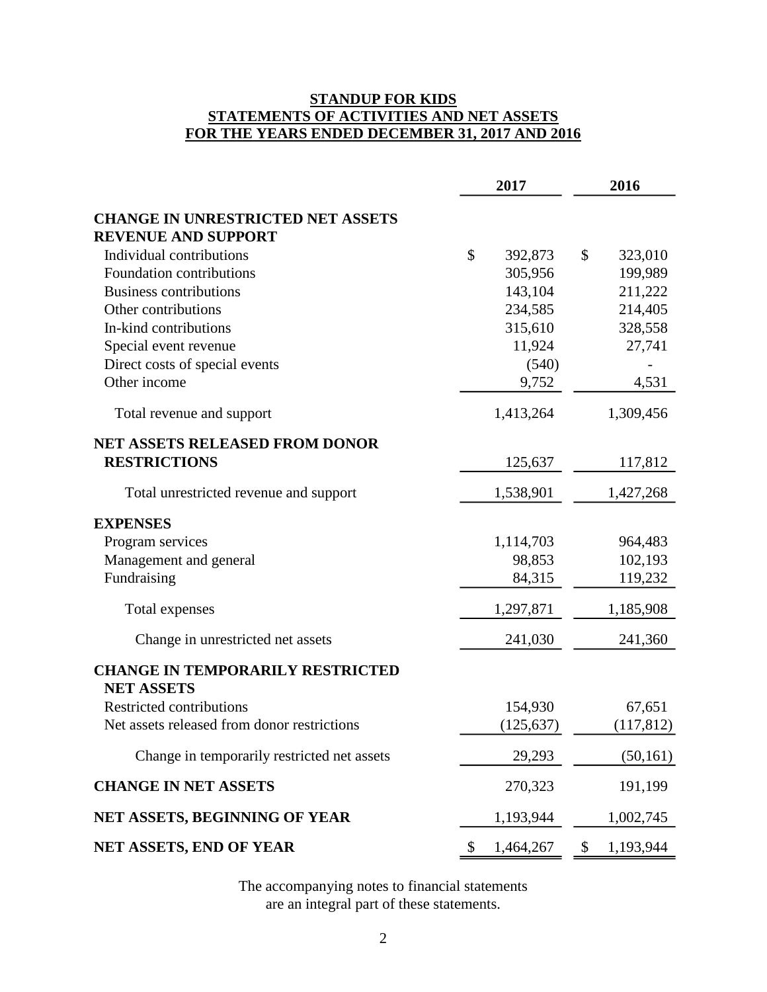# **STANDUP FOR KIDS STATEMENTS OF ACTIVITIES AND NET ASSETS FOR THE YEARS ENDED DECEMBER 31, 2017 AND 2016**

|                                                                        | 2017 |            |               | 2016      |
|------------------------------------------------------------------------|------|------------|---------------|-----------|
| <b>CHANGE IN UNRESTRICTED NET ASSETS</b><br><b>REVENUE AND SUPPORT</b> |      |            |               |           |
| Individual contributions                                               | \$   | 392,873    | \$            | 323,010   |
| Foundation contributions                                               |      | 305,956    |               | 199,989   |
| <b>Business contributions</b>                                          |      | 143,104    |               | 211,222   |
| Other contributions                                                    |      | 234,585    |               | 214,405   |
| In-kind contributions                                                  |      | 315,610    |               | 328,558   |
| Special event revenue                                                  |      | 11,924     |               | 27,741    |
| Direct costs of special events                                         |      | (540)      |               |           |
| Other income                                                           |      | 9,752      |               | 4,531     |
| Total revenue and support                                              |      | 1,413,264  |               | 1,309,456 |
| <b>NET ASSETS RELEASED FROM DONOR</b>                                  |      |            |               |           |
| <b>RESTRICTIONS</b>                                                    |      | 125,637    |               | 117,812   |
| Total unrestricted revenue and support                                 |      | 1,538,901  |               | 1,427,268 |
| <b>EXPENSES</b>                                                        |      |            |               |           |
| Program services                                                       |      | 1,114,703  |               | 964,483   |
| Management and general                                                 |      | 98,853     |               | 102,193   |
| Fundraising                                                            |      | 84,315     |               | 119,232   |
| Total expenses                                                         |      | 1,297,871  |               | 1,185,908 |
| Change in unrestricted net assets                                      |      | 241,030    |               | 241,360   |
| <b>CHANGE IN TEMPORARILY RESTRICTED</b><br><b>NET ASSETS</b>           |      |            |               |           |
| <b>Restricted contributions</b>                                        |      | 154,930    |               | 67,651    |
| Net assets released from donor restrictions                            |      | (125, 637) |               | (117,812) |
| Change in temporarily restricted net assets                            |      | 29,293     |               | (50, 161) |
| <b>CHANGE IN NET ASSETS</b>                                            |      | 270,323    |               | 191,199   |
| NET ASSETS, BEGINNING OF YEAR                                          |      | 1,193,944  |               | 1,002,745 |
| NET ASSETS, END OF YEAR                                                | \$   | 1,464,267  | $\mathcal{S}$ | 1,193,944 |

The accompanying notes to financial statements are an integral part of these statements.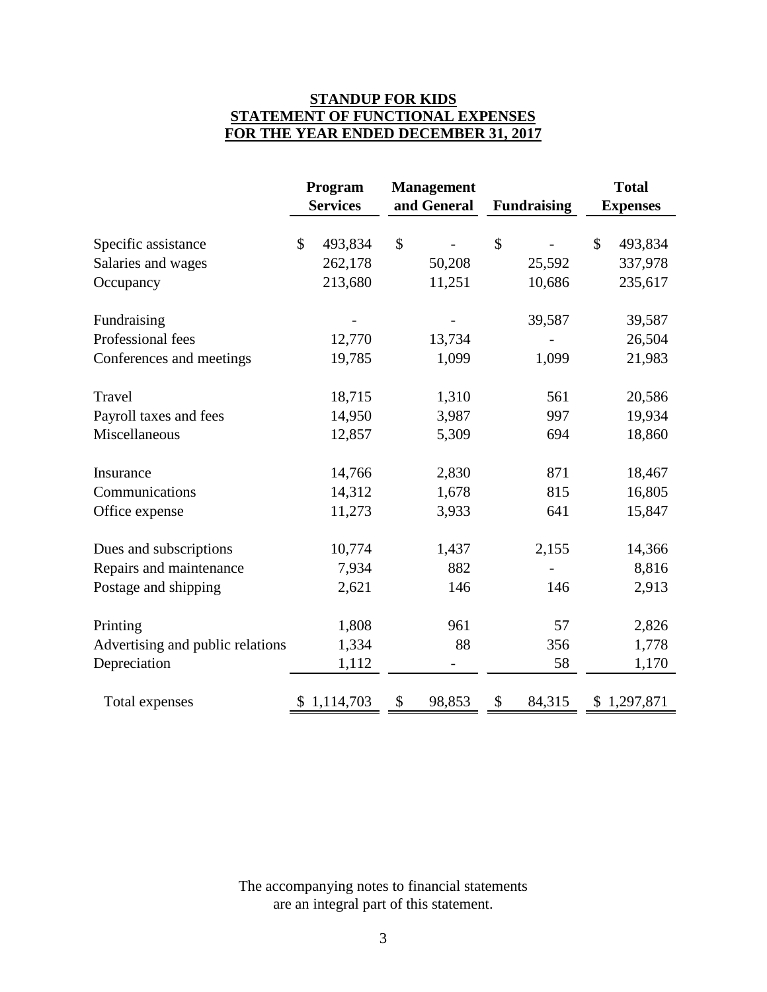# **STANDUP FOR KIDS STATEMENT OF FUNCTIONAL EXPENSES FOR THE YEAR ENDED DECEMBER 31, 2017**

|                                  | Program |                 | <b>Management</b> |        |                    |                 | <b>Total</b> |
|----------------------------------|---------|-----------------|-------------------|--------|--------------------|-----------------|--------------|
|                                  |         | <b>Services</b> | and General       |        | <b>Fundraising</b> | <b>Expenses</b> |              |
| Specific assistance              | \$      | 493,834         | \$                |        | \$                 | \$              | 493,834      |
| Salaries and wages               |         | 262,178         |                   | 50,208 | 25,592             |                 | 337,978      |
| Occupancy                        |         | 213,680         |                   | 11,251 | 10,686             |                 | 235,617      |
| Fundraising                      |         |                 |                   |        | 39,587             |                 | 39,587       |
| Professional fees                |         | 12,770          |                   | 13,734 |                    |                 | 26,504       |
| Conferences and meetings         |         | 19,785          |                   | 1,099  | 1,099              |                 | 21,983       |
| Travel                           |         | 18,715          |                   | 1,310  | 561                |                 | 20,586       |
| Payroll taxes and fees           |         | 14,950          |                   | 3,987  | 997                |                 | 19,934       |
| Miscellaneous                    |         | 12,857          |                   | 5,309  | 694                |                 | 18,860       |
| Insurance                        |         | 14,766          |                   | 2,830  | 871                |                 | 18,467       |
| Communications                   |         | 14,312          |                   | 1,678  | 815                |                 | 16,805       |
| Office expense                   |         | 11,273          |                   | 3,933  | 641                |                 | 15,847       |
| Dues and subscriptions           |         | 10,774          |                   | 1,437  | 2,155              |                 | 14,366       |
| Repairs and maintenance          |         | 7,934           |                   | 882    |                    |                 | 8,816        |
| Postage and shipping             |         | 2,621           |                   | 146    | 146                |                 | 2,913        |
| Printing                         |         | 1,808           |                   | 961    | 57                 |                 | 2,826        |
| Advertising and public relations |         | 1,334           |                   | 88     | 356                |                 | 1,778        |
| Depreciation                     |         | 1,112           |                   |        | 58                 |                 | 1,170        |
| Total expenses                   |         | \$1,114,703     | \$                | 98,853 | \$<br>84,315       |                 | \$1,297,871  |

The accompanying notes to financial statements are an integral part of this statement.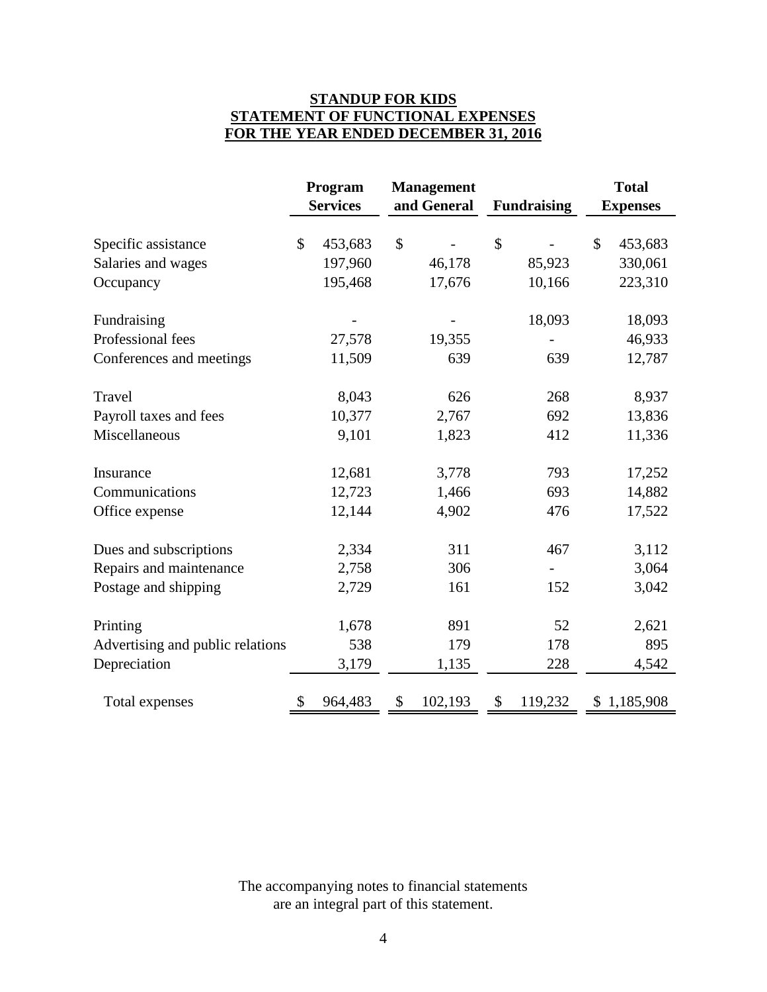# **STANDUP FOR KIDS STATEMENT OF FUNCTIONAL EXPENSES FOR THE YEAR ENDED DECEMBER 31, 2016**

|                                  | Program         | <b>Management</b> |         |    |                    |               |                 |  |  | <b>Total</b> |
|----------------------------------|-----------------|-------------------|---------|----|--------------------|---------------|-----------------|--|--|--------------|
|                                  | <b>Services</b> | and General       |         |    | <b>Fundraising</b> |               | <b>Expenses</b> |  |  |              |
| Specific assistance              | \$<br>453,683   | \$                |         | \$ |                    | $\mathcal{S}$ | 453,683         |  |  |              |
| Salaries and wages               | 197,960         |                   | 46,178  |    | 85,923             |               | 330,061         |  |  |              |
| Occupancy                        | 195,468         |                   | 17,676  |    | 10,166             |               | 223,310         |  |  |              |
| Fundraising                      |                 |                   |         |    | 18,093             |               | 18,093          |  |  |              |
| Professional fees                | 27,578          |                   | 19,355  |    |                    |               | 46,933          |  |  |              |
| Conferences and meetings         | 11,509          |                   | 639     |    | 639                |               | 12,787          |  |  |              |
| Travel                           | 8,043           |                   | 626     |    | 268                |               | 8,937           |  |  |              |
| Payroll taxes and fees           | 10,377          |                   | 2,767   |    | 692                |               | 13,836          |  |  |              |
| Miscellaneous                    | 9,101           |                   | 1,823   |    | 412                |               | 11,336          |  |  |              |
| Insurance                        | 12,681          |                   | 3,778   |    | 793                |               | 17,252          |  |  |              |
| Communications                   | 12,723          |                   | 1,466   |    | 693                |               | 14,882          |  |  |              |
| Office expense                   | 12,144          |                   | 4,902   |    | 476                |               | 17,522          |  |  |              |
| Dues and subscriptions           | 2,334           |                   | 311     |    | 467                |               | 3,112           |  |  |              |
| Repairs and maintenance          | 2,758           |                   | 306     |    |                    |               | 3,064           |  |  |              |
| Postage and shipping             | 2,729           |                   | 161     |    | 152                |               | 3,042           |  |  |              |
| Printing                         | 1,678           |                   | 891     |    | 52                 |               | 2,621           |  |  |              |
| Advertising and public relations | 538             |                   | 179     |    | 178                |               | 895             |  |  |              |
| Depreciation                     | 3,179           |                   | 1,135   |    | 228                |               | 4,542           |  |  |              |
| Total expenses                   | \$<br>964,483   | \$                | 102,193 | \$ | 119,232            |               | \$1,185,908     |  |  |              |

The accompanying notes to financial statements are an integral part of this statement.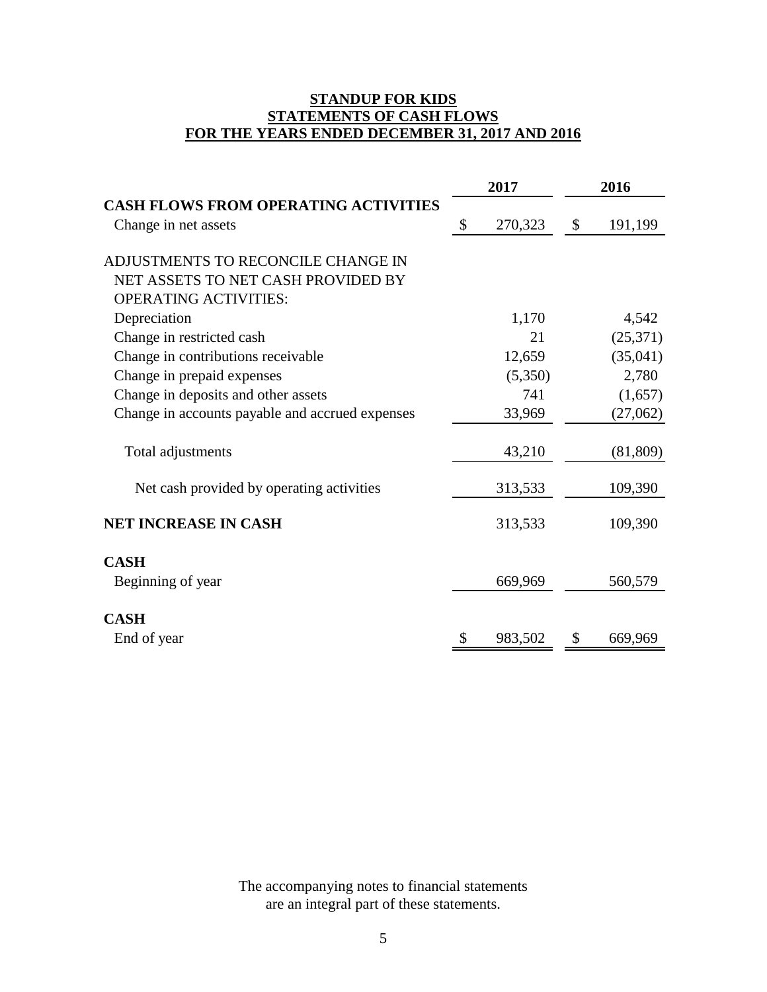# **STANDUP FOR KIDS STATEMENTS OF CASH FLOWS FOR THE YEARS ENDED DECEMBER 31, 2017 AND 2016**

|                                                 |                           | 2017    | 2016 |          |  |
|-------------------------------------------------|---------------------------|---------|------|----------|--|
| <b>CASH FLOWS FROM OPERATING ACTIVITIES</b>     | $\boldsymbol{\mathsf{S}}$ |         |      |          |  |
| Change in net assets                            |                           | 270,323 | \$   | 191,199  |  |
| ADJUSTMENTS TO RECONCILE CHANGE IN              |                           |         |      |          |  |
| NET ASSETS TO NET CASH PROVIDED BY              |                           |         |      |          |  |
| <b>OPERATING ACTIVITIES:</b>                    |                           |         |      |          |  |
| Depreciation                                    |                           | 1,170   |      | 4,542    |  |
| Change in restricted cash                       |                           | 21      |      | (25,371) |  |
| Change in contributions receivable              |                           | 12,659  |      | (35,041) |  |
| Change in prepaid expenses                      |                           | (5,350) |      | 2,780    |  |
| Change in deposits and other assets             |                           | 741     |      | (1,657)  |  |
| Change in accounts payable and accrued expenses |                           | 33,969  |      | (27,062) |  |
| Total adjustments                               |                           | 43,210  |      | (81,809) |  |
| Net cash provided by operating activities       |                           | 313,533 |      | 109,390  |  |
| NET INCREASE IN CASH                            |                           | 313,533 |      | 109,390  |  |
| <b>CASH</b>                                     |                           |         |      |          |  |
| Beginning of year                               |                           | 669,969 |      | 560,579  |  |
| <b>CASH</b>                                     |                           |         |      |          |  |
| End of year                                     | \$                        | 983,502 | \$   | 669,969  |  |

The accompanying notes to financial statements are an integral part of these statements.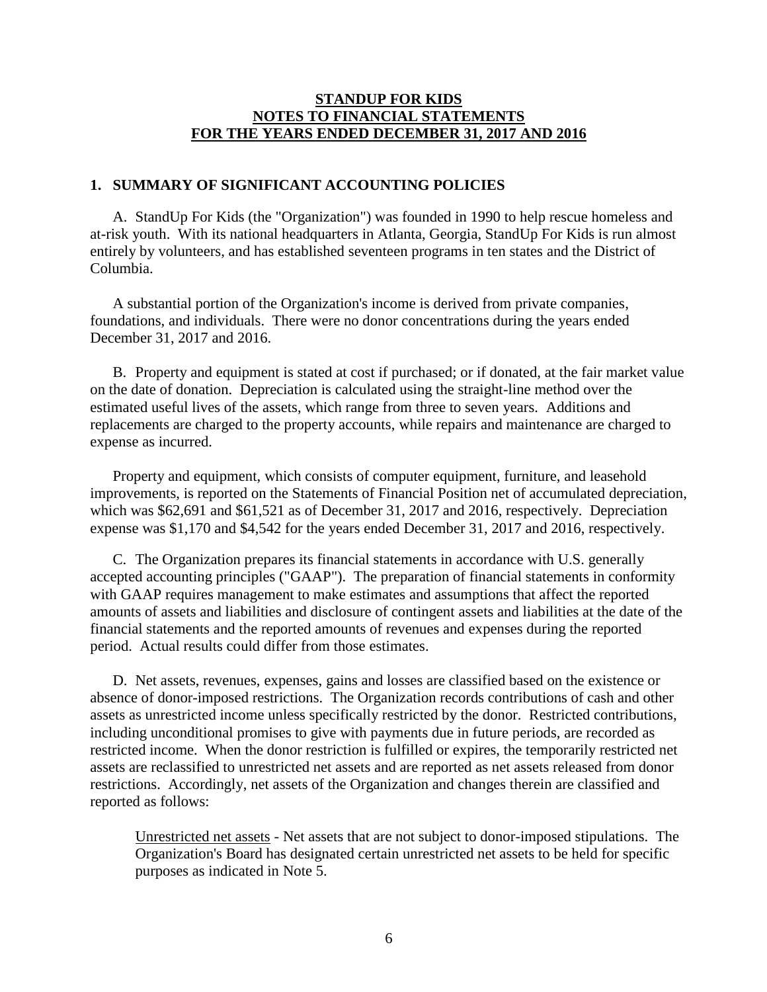# **1. SUMMARY OF SIGNIFICANT ACCOUNTING POLICIES**

A. StandUp For Kids (the "Organization") was founded in 1990 to help rescue homeless and at-risk youth. With its national headquarters in Atlanta, Georgia, StandUp For Kids is run almost entirely by volunteers, and has established seventeen programs in ten states and the District of Columbia.

A substantial portion of the Organization's income is derived from private companies, foundations, and individuals. There were no donor concentrations during the years ended December 31, 2017 and 2016.

B. Property and equipment is stated at cost if purchased; or if donated, at the fair market value on the date of donation. Depreciation is calculated using the straight-line method over the estimated useful lives of the assets, which range from three to seven years. Additions and replacements are charged to the property accounts, while repairs and maintenance are charged to expense as incurred.

Property and equipment, which consists of computer equipment, furniture, and leasehold improvements, is reported on the Statements of Financial Position net of accumulated depreciation, which was \$62,691 and \$61,521 as of December 31, 2017 and 2016, respectively. Depreciation expense was \$1,170 and \$4,542 for the years ended December 31, 2017 and 2016, respectively.

C. The Organization prepares its financial statements in accordance with U.S. generally accepted accounting principles ("GAAP"). The preparation of financial statements in conformity with GAAP requires management to make estimates and assumptions that affect the reported amounts of assets and liabilities and disclosure of contingent assets and liabilities at the date of the financial statements and the reported amounts of revenues and expenses during the reported period. Actual results could differ from those estimates.

D. Net assets, revenues, expenses, gains and losses are classified based on the existence or absence of donor-imposed restrictions. The Organization records contributions of cash and other assets as unrestricted income unless specifically restricted by the donor. Restricted contributions, including unconditional promises to give with payments due in future periods, are recorded as restricted income. When the donor restriction is fulfilled or expires, the temporarily restricted net assets are reclassified to unrestricted net assets and are reported as net assets released from donor restrictions. Accordingly, net assets of the Organization and changes therein are classified and reported as follows:

Unrestricted net assets - Net assets that are not subject to donor-imposed stipulations. The Organization's Board has designated certain unrestricted net assets to be held for specific purposes as indicated in Note 5.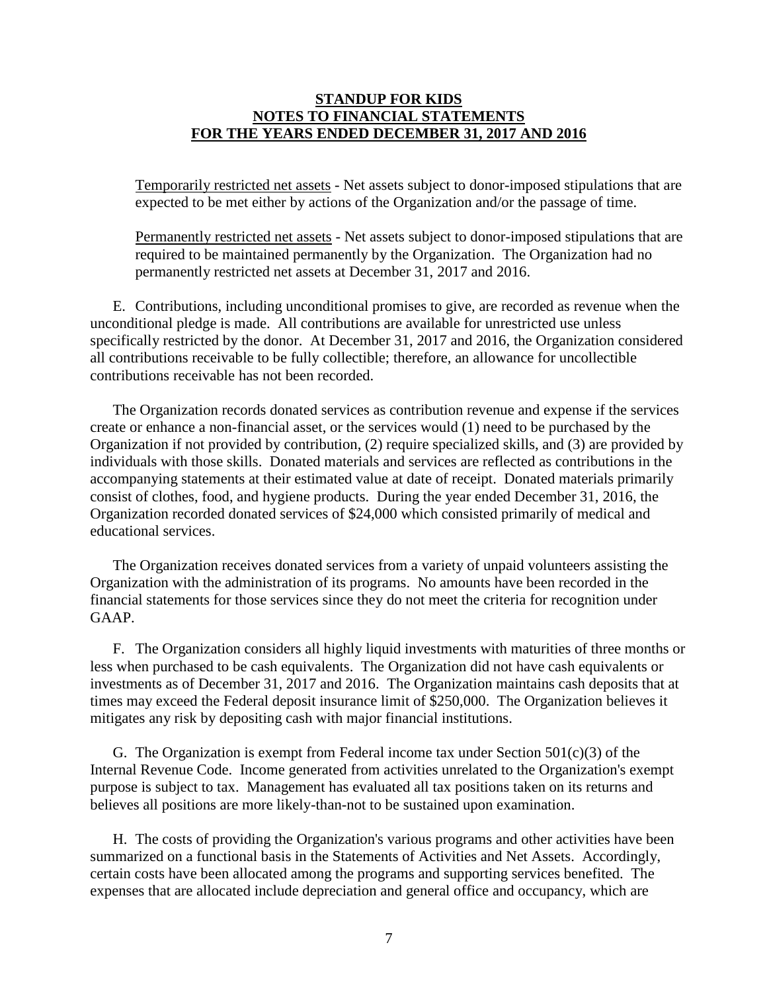Temporarily restricted net assets - Net assets subject to donor-imposed stipulations that are expected to be met either by actions of the Organization and/or the passage of time.

Permanently restricted net assets - Net assets subject to donor-imposed stipulations that are required to be maintained permanently by the Organization. The Organization had no permanently restricted net assets at December 31, 2017 and 2016.

E. Contributions, including unconditional promises to give, are recorded as revenue when the unconditional pledge is made. All contributions are available for unrestricted use unless specifically restricted by the donor. At December 31, 2017 and 2016, the Organization considered all contributions receivable to be fully collectible; therefore, an allowance for uncollectible contributions receivable has not been recorded.

The Organization records donated services as contribution revenue and expense if the services create or enhance a non-financial asset, or the services would (1) need to be purchased by the Organization if not provided by contribution, (2) require specialized skills, and (3) are provided by individuals with those skills. Donated materials and services are reflected as contributions in the accompanying statements at their estimated value at date of receipt. Donated materials primarily consist of clothes, food, and hygiene products. During the year ended December 31, 2016, the Organization recorded donated services of \$24,000 which consisted primarily of medical and educational services.

The Organization receives donated services from a variety of unpaid volunteers assisting the Organization with the administration of its programs. No amounts have been recorded in the financial statements for those services since they do not meet the criteria for recognition under GAAP.

F. The Organization considers all highly liquid investments with maturities of three months or less when purchased to be cash equivalents. The Organization did not have cash equivalents or investments as of December 31, 2017 and 2016. The Organization maintains cash deposits that at times may exceed the Federal deposit insurance limit of \$250,000. The Organization believes it mitigates any risk by depositing cash with major financial institutions.

G. The Organization is exempt from Federal income tax under Section  $501(c)(3)$  of the Internal Revenue Code. Income generated from activities unrelated to the Organization's exempt purpose is subject to tax. Management has evaluated all tax positions taken on its returns and believes all positions are more likely-than-not to be sustained upon examination.

H. The costs of providing the Organization's various programs and other activities have been summarized on a functional basis in the Statements of Activities and Net Assets. Accordingly, certain costs have been allocated among the programs and supporting services benefited. The expenses that are allocated include depreciation and general office and occupancy, which are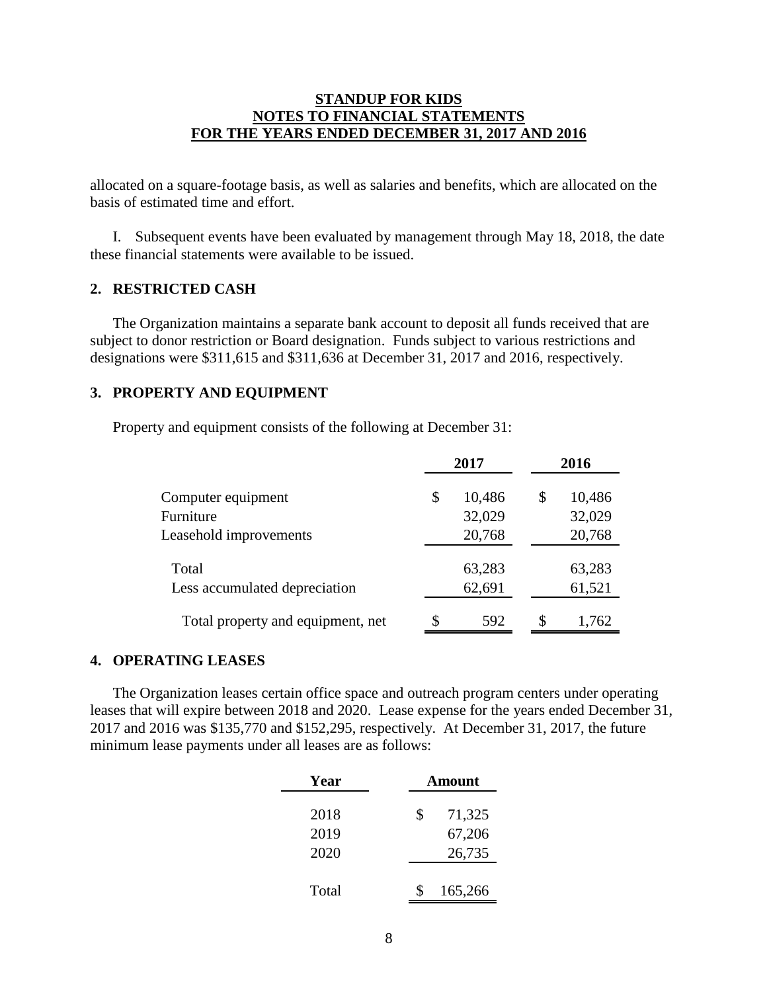allocated on a square-footage basis, as well as salaries and benefits, which are allocated on the basis of estimated time and effort.

I. Subsequent events have been evaluated by management through May 18, 2018, the date these financial statements were available to be issued.

# **2. RESTRICTED CASH**

The Organization maintains a separate bank account to deposit all funds received that are subject to donor restriction or Board designation. Funds subject to various restrictions and designations were \$311,615 and \$311,636 at December 31, 2017 and 2016, respectively.

## **3. PROPERTY AND EQUIPMENT**

Property and equipment consists of the following at December 31:

|                                        |    | 2017             | 2016 |                  |  |
|----------------------------------------|----|------------------|------|------------------|--|
| Computer equipment                     | \$ | 10,486           | \$   | 10,486           |  |
| Furniture                              |    | 32,029           |      | 32,029           |  |
| Leasehold improvements                 |    | 20,768           |      | 20,768           |  |
| Total<br>Less accumulated depreciation |    | 63,283<br>62,691 |      | 63,283<br>61,521 |  |
| Total property and equipment, net      | \$ | 592              | \$.  | 1,762            |  |

#### **4. OPERATING LEASES**

The Organization leases certain office space and outreach program centers under operating leases that will expire between 2018 and 2020. Lease expense for the years ended December 31, 2017 and 2016 was \$135,770 and \$152,295, respectively. At December 31, 2017, the future minimum lease payments under all leases are as follows:

| Year  | Amount       |
|-------|--------------|
| 2018  | \$<br>71,325 |
| 2019  | 67,206       |
| 2020  | 26,735       |
|       |              |
| Total | 165,266      |